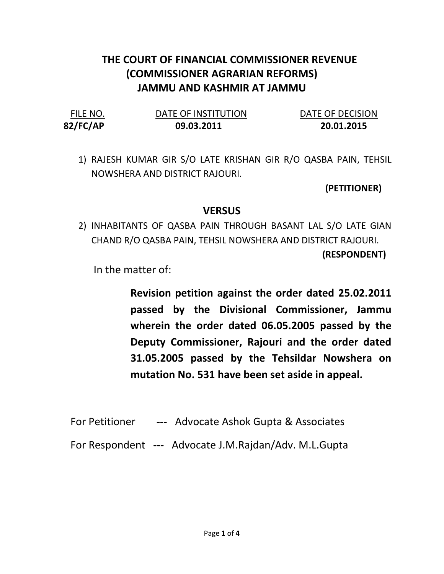## THE COURT OF FINANCIAL COMMISSIONER REVENUE (COMMISSIONER AGRARIAN REFORMS) JAMMU AND KASHMIR AT JAMMU

82/FC/AP 09.03.2011 20.01.2015

FILE NO. DATE OF INSTITUTION DATE OF DECISION

1) RAJESH KUMAR GIR S/O LATE KRISHAN GIR R/O QASBA PAIN, TEHSIL NOWSHERA AND DISTRICT RAJOURI.

(PETITIONER)

## **VERSUS**

2) INHABITANTS OF QASBA PAIN THROUGH BASANT LAL S/O LATE GIAN CHAND R/O QASBA PAIN, TEHSIL NOWSHERA AND DISTRICT RAJOURI.

(RESPONDENT)

In the matter of:

Revision petition against the order dated 25.02.2011 passed by the Divisional Commissioner, Jammu wherein the order dated 06.05.2005 passed by the Deputy Commissioner, Rajouri and the order dated 31.05.2005 passed by the Tehsildar Nowshera on mutation No. 531 have been set aside in appeal.

- For Petitioner --- Advocate Ashok Gupta & Associates
- For Respondent --- Advocate J.M.Rajdan/Adv. M.L.Gupta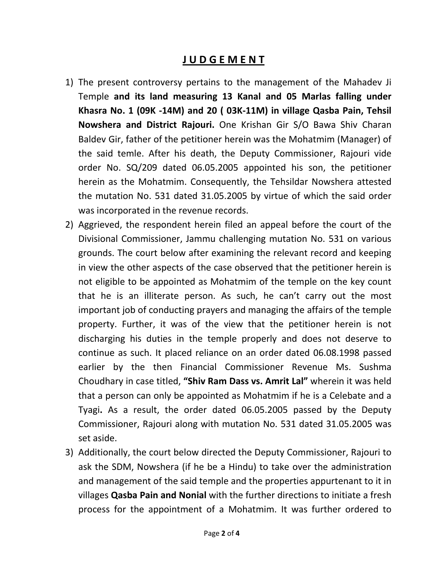## J U D G E M E N T

- 1) The present controversy pertains to the management of the Mahadev Ji Temple and its land measuring 13 Kanal and 05 Marlas falling under Khasra No. 1 (09K -14M) and 20 ( 03K-11M) in village Qasba Pain, Tehsil Nowshera and District Rajouri. One Krishan Gir S/O Bawa Shiv Charan Baldev Gir, father of the petitioner herein was the Mohatmim (Manager) of the said temle. After his death, the Deputy Commissioner, Rajouri vide order No. SQ/209 dated 06.05.2005 appointed his son, the petitioner herein as the Mohatmim. Consequently, the Tehsildar Nowshera attested the mutation No. 531 dated 31.05.2005 by virtue of which the said order was incorporated in the revenue records.
- 2) Aggrieved, the respondent herein filed an appeal before the court of the Divisional Commissioner, Jammu challenging mutation No. 531 on various grounds. The court below after examining the relevant record and keeping in view the other aspects of the case observed that the petitioner herein is not eligible to be appointed as Mohatmim of the temple on the key count that he is an illiterate person. As such, he can't carry out the most important job of conducting prayers and managing the affairs of the temple property. Further, it was of the view that the petitioner herein is not discharging his duties in the temple properly and does not deserve to continue as such. It placed reliance on an order dated 06.08.1998 passed earlier by the then Financial Commissioner Revenue Ms. Sushma Choudhary in case titled, "Shiv Ram Dass vs. Amrit Lal" wherein it was held that a person can only be appointed as Mohatmim if he is a Celebate and a Tyagi. As a result, the order dated 06.05.2005 passed by the Deputy Commissioner, Rajouri along with mutation No. 531 dated 31.05.2005 was set aside.
- 3) Additionally, the court below directed the Deputy Commissioner, Rajouri to ask the SDM, Nowshera (if he be a Hindu) to take over the administration and management of the said temple and the properties appurtenant to it in villages Qasba Pain and Nonial with the further directions to initiate a fresh process for the appointment of a Mohatmim. It was further ordered to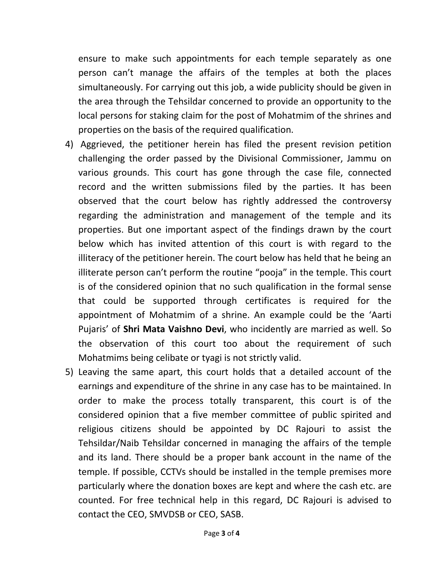ensure to make such appointments for each temple separately as one person can't manage the affairs of the temples at both the places simultaneously. For carrying out this job, a wide publicity should be given in the area through the Tehsildar concerned to provide an opportunity to the local persons for staking claim for the post of Mohatmim of the shrines and properties on the basis of the required qualification.

- 4) Aggrieved, the petitioner herein has filed the present revision petition challenging the order passed by the Divisional Commissioner, Jammu on various grounds. This court has gone through the case file, connected record and the written submissions filed by the parties. It has been observed that the court below has rightly addressed the controversy regarding the administration and management of the temple and its properties. But one important aspect of the findings drawn by the court below which has invited attention of this court is with regard to the illiteracy of the petitioner herein. The court below has held that he being an illiterate person can't perform the routine "pooja" in the temple. This court is of the considered opinion that no such qualification in the formal sense that could be supported through certificates is required for the appointment of Mohatmim of a shrine. An example could be the 'Aarti Pujaris' of Shri Mata Vaishno Devi, who incidently are married as well. So the observation of this court too about the requirement of such Mohatmims being celibate or tyagi is not strictly valid.
- 5) Leaving the same apart, this court holds that a detailed account of the earnings and expenditure of the shrine in any case has to be maintained. In order to make the process totally transparent, this court is of the considered opinion that a five member committee of public spirited and religious citizens should be appointed by DC Rajouri to assist the Tehsildar/Naib Tehsildar concerned in managing the affairs of the temple and its land. There should be a proper bank account in the name of the temple. If possible, CCTVs should be installed in the temple premises more particularly where the donation boxes are kept and where the cash etc. are counted. For free technical help in this regard, DC Rajouri is advised to contact the CEO, SMVDSB or CEO, SASB.